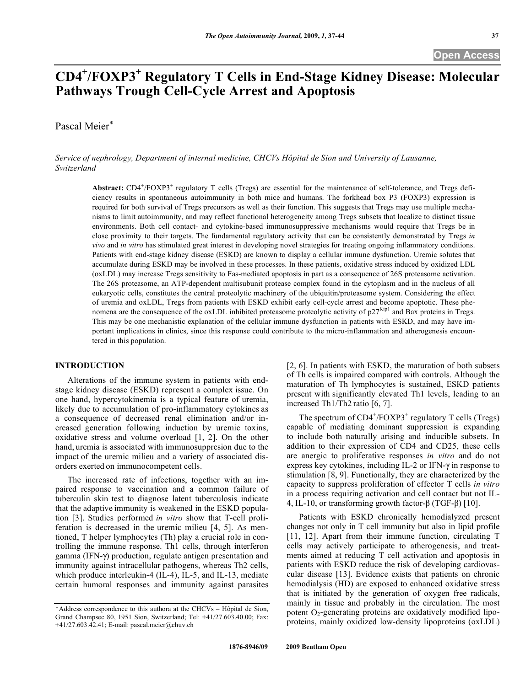# **CD4<sup>+</sup> /FOXP3+ Regulatory T Cells in End-Stage Kidney Disease: Molecular Pathways Trough Cell-Cycle Arrest and Apoptosis**

Pascal Meier\*

*Service of nephrology, Department of internal medicine, CHCVs Hôpital de Sion and University of Lausanne, Switzerland* 

Abstract: CD4<sup>+</sup>/FOXP3<sup>+</sup> regulatory T cells (Tregs) are essential for the maintenance of self-tolerance, and Tregs deficiency results in spontaneous autoimmunity in both mice and humans. The forkhead box P3 (FOXP3) expression is required for both survival of Tregs precursors as well as their function. This suggests that Tregs may use multiple mechanisms to limit autoimmunity, and may reflect functional heterogeneity among Tregs subsets that localize to distinct tissue environments. Both cell contact- and cytokine-based immunosuppressive mechanisms would require that Tregs be in close proximity to their targets. The fundamental regulatory activity that can be consistently demonstrated by Tregs *in vivo* and *in vitro* has stimulated great interest in developing novel strategies for treating ongoing inflammatory conditions. Patients with end-stage kidney disease (ESKD) are known to display a cellular immune dysfunction. Uremic solutes that accumulate during ESKD may be involved in these processes. In these patients, oxidative stress induced by oxidized LDL (oxLDL) may increase Tregs sensitivity to Fas-mediated apoptosis in part as a consequence of 26S proteasome activation. The 26S proteasome, an ATP-dependent multisubunit protease complex found in the cytoplasm and in the nucleus of all eukaryotic cells, constitutes the central proteolytic machinery of the ubiquitin/proteasome system. Considering the effect of uremia and oxLDL, Tregs from patients with ESKD exhibit early cell-cycle arrest and become apoptotic. These phenomena are the consequence of the oxLDL inhibited proteasome proteolytic activity of  $p27<sup>Kip1</sup>$  and Bax proteins in Tregs. This may be one mechanistic explanation of the cellular immune dysfunction in patients with ESKD, and may have important implications in clinics, since this response could contribute to the micro-inflammation and atherogenesis encountered in this population.

#### **INTRODUCTION**

 Alterations of the immune system in patients with endstage kidney disease (ESKD) represent a complex issue. On one hand, hypercytokinemia is a typical feature of uremia, likely due to accumulation of pro-inflammatory cytokines as a consequence of decreased renal elimination and/or increased generation following induction by uremic toxins, oxidative stress and volume overload [1, 2]. On the other hand, uremia is associated with immunosuppresion due to the impact of the uremic milieu and a variety of associated disorders exerted on immunocompetent cells.

 The increased rate of infections, together with an impaired response to vaccination and a common failure of tuberculin skin test to diagnose latent tuberculosis indicate that the adaptive immunity is weakened in the ESKD population [3]. Studies performed *in vitro* show that T-cell proliferation is decreased in the uremic milieu [4, 5]. As mentioned, T helper lymphocytes (Th) play a crucial role in controlling the immune response. Th1 cells, through interferon gamma (IFN- $\gamma$ ) production, regulate antigen presentation and immunity against intracellular pathogens, whereas Th2 cells, which produce interleukin-4 (IL-4), IL-5, and IL-13, mediate certain humoral responses and immunity against parasites

[2, 6]. In patients with ESKD, the maturation of both subsets of Th cells is impaired compared with controls. Although the maturation of Th lymphocytes is sustained, ESKD patients present with significantly elevated Th1 levels, leading to an increased Th1/Th2 ratio [6, 7].

The spectrum of  $CD4^+/FOXP3^+$  regulatory T cells (Tregs) capable of mediating dominant suppression is expanding to include both naturally arising and inducible subsets. In addition to their expression of CD4 and CD25, these cells are anergic to proliferative responses *in vitro* and do not express key cytokines, including IL-2 or IFN- $\gamma$  in response to stimulation [8, 9]. Functionally, they are characterized by the capacity to suppress proliferation of effector T cells *in vitro* in a process requiring activation and cell contact but not IL-4, IL-10, or transforming growth factor- $\beta$  (TGF- $\beta$ ) [10].

 Patients with ESKD chronically hemodialyzed present changes not only in T cell immunity but also in lipid profile [11, 12]. Apart from their immune function, circulating T cells may actively participate to atherogenesis, and treatments aimed at reducing T cell activation and apoptosis in patients with ESKD reduce the risk of developing cardiovascular disease [13]. Evidence exists that patients on chronic hemodialysis (HD) are exposed to enhanced oxidative stress that is initiated by the generation of oxygen free radicals, mainly in tissue and probably in the circulation. The most potent  $O_2$ -generating proteins are oxidatively modified lipoproteins, mainly oxidized low-density lipoproteins (oxLDL)

<sup>\*</sup>Address correspondence to this authora at the CHCVs – Hôpital de Sion, Grand Champsec 80, 1951 Sion, Switzerland; Tel: +41/27.603.40.00; Fax:  $+41/27.603.42.41$ ; E-mail: pascal.meier@chuv.ch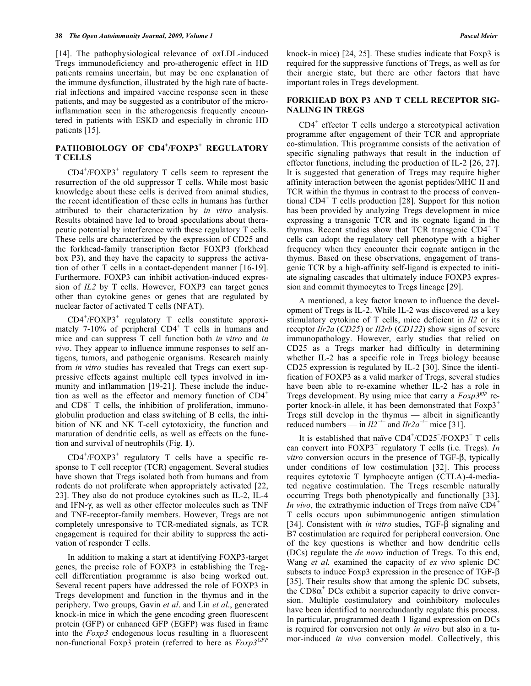[14]. The pathophysiological relevance of oxLDL-induced Tregs immunodeficiency and pro-atherogenic effect in HD patients remains uncertain, but may be one explanation of the immune dysfunction, illustrated by the high rate of bacterial infections and impaired vaccine response seen in these patients, and may be suggested as a contributor of the microinflammation seen in the atherogenesis frequently encountered in patients with ESKD and especially in chronic HD patients [15].

## **PATHOBIOLOGY OF CD4<sup>+</sup> /FOXP3<sup>+</sup> REGULATORY T CELLS**

 $CD4+/FOXP3+$  regulatory T cells seem to represent the resurrection of the old suppressor T cells. While most basic knowledge about these cells is derived from animal studies, the recent identification of these cells in humans has further attributed to their characterization by *in vitro* analysis. Results obtained have led to broad speculations about therapeutic potential by interference with these regulatory T cells. These cells are characterized by the expression of CD25 and the forkhead-family transcription factor FOXP3 (forkhead box P3), and they have the capacity to suppress the activation of other T cells in a contact-dependent manner [16-19]. Furthermore, FOXP3 can inhibit activation-induced expression of *IL2* by T cells. However, FOXP3 can target genes other than cytokine genes or genes that are regulated by nuclear factor of activated T cells (NFAT).

 $CD4+/FOXP3+$  regulatory T cells constitute approximately  $7-10\%$  of peripheral CD4<sup>+</sup> T cells in humans and mice and can suppress T cell function both *in vitro* and *in vivo*. They appear to influence immune responses to self antigens, tumors, and pathogenic organisms. Research mainly from *in vitro* studies has revealed that Tregs can exert suppressive effects against multiple cell types involved in immunity and inflammation [19-21]. These include the induction as well as the effector and memory function of  $CD4<sup>+</sup>$ and CD8<sup>+</sup> T cells, the inhibition of proliferation, immunoglobulin production and class switching of B cells, the inhibition of NK and NK T-cell cytotoxicity, the function and maturation of dendritic cells, as well as effects on the function and survival of neutrophils (Fig. **1**).

 $CD4+/FOXP3+$  regulatory T cells have a specific response to T cell receptor (TCR) engagement. Several studies have shown that Tregs isolated both from humans and from rodents do not proliferate when appropriately activated [22, 23]. They also do not produce cytokines such as IL-2, IL-4 and IFN- $\gamma$ , as well as other effector molecules such as TNF and TNF-receptor-family members. However, Tregs are not completely unresponsive to TCR-mediated signals, as TCR engagement is required for their ability to suppress the activation of responder T cells.

 In addition to making a start at identifying FOXP3-target genes, the precise role of FOXP3 in establishing the Tregcell differentiation programme is also being worked out. Several recent papers have addressed the role of FOXP3 in Tregs development and function in the thymus and in the periphery. Two groups, Gavin *et al*. and Lin *et al*., generated knock-in mice in which the gene encoding green fluorescent protein (GFP) or enhanced GFP (EGFP) was fused in frame into the *Foxp3* endogenous locus resulting in a fluorescent non-functional Foxp3 protein (referred to here as *Foxp3GFP* knock-in mice) [24, 25]. These studies indicate that Foxp3 is required for the suppressive functions of Tregs, as well as for their anergic state, but there are other factors that have important roles in Tregs development.

#### **FORKHEAD BOX P3 AND T CELL RECEPTOR SIG-NALING IN TREGS**

 CD4<sup>+</sup> effector T cells undergo a stereotypical activation programme after engagement of their TCR and appropriate co-stimulation. This programme consists of the activation of specific signaling pathways that result in the induction of effector functions, including the production of IL-2 [26, 27]. It is suggested that generation of Tregs may require higher affinity interaction between the agonist peptides/MHC II and TCR within the thymus in contrast to the process of conventional CD4<sup>+</sup> T cells production [28]. Support for this notion has been provided by analyzing Tregs development in mice expressing a transgenic TCR and its cognate ligand in the thymus. Recent studies show that TCR transgenic CD4<sup>+</sup> T cells can adopt the regulatory cell phenotype with a higher frequency when they encounter their cognate antigen in the thymus. Based on these observations, engagement of transgenic TCR by a high-affinity self-ligand is expected to initiate signaling cascades that ultimately induce FOXP3 expression and commit thymocytes to Tregs lineage [29].

 A mentioned, a key factor known to influence the development of Tregs is IL-2. While IL-2 was discovered as a key stimulatory cytokine of T cells, mice deficient in *Il2* or its receptor *Ilr2a* (*CD25*) or *Il2rb* (*CD122*) show signs of severe immunopathology. However, early studies that relied on CD25 as a Tregs marker had difficulty in determining whether IL-2 has a specific role in Tregs biology because CD25 expression is regulated by IL-2 [30]. Since the identification of FOXP3 as a valid marker of Tregs, several studies have been able to re-examine whether IL-2 has a role in Tregs development. By using mice that carry a *Foxp3gfp* reporter knock-in allele, it has been demonstrated that  $F\text{ox}p3^+$ Tregs still develop in the thymus — albeit in significantly reduced numbers — in  $II2^{-/-}$  and  $I1r2a^{-/-}$  mice [31].

It is established that naïve  $CD4^{+}/CD25^{-}/FOXP3^{-}T$  cells can convert into  $FOXP3^+$  regulatory T cells (i.e. Tregs). *In*  $vitro$  conversion occurs in the presence of TGF- $\beta$ , typically under conditions of low costimulation [32]. This process requires cytotoxic T lymphocyte antigen (CTLA)-4-mediated negative costimulation. The Tregs resemble naturally occurring Tregs both phenotypically and functionally [33]. *In vivo*, the extrathymic induction of Tregs from naïve  $CD4^+$ T cells occurs upon subimmunogenic antigen stimulation [34]. Consistent with *in vitro* studies,  $TGF- $\beta$  signaling and$ B7 costimulation are required for peripheral conversion. One of the key questions is whether and how dendritic cells (DCs) regulate the *de novo* induction of Tregs. To this end, Wang *et al.* examined the capacity of *ex vivo* splenic DC subsets to induce Foxp3 expression in the presence of TGF- $\beta$ [35]. Their results show that among the splenic DC subsets, the  $CDS\alpha^+DCs$  exhibit a superior capacity to drive conversion. Multiple costimulatory and coinhibitory molecules have been identified to nonredundantly regulate this process. In particular, programmed death 1 ligand expression on DCs is required for conversion not only *in vitro* but also in a tumor-induced *in vivo* conversion model. Collectively, this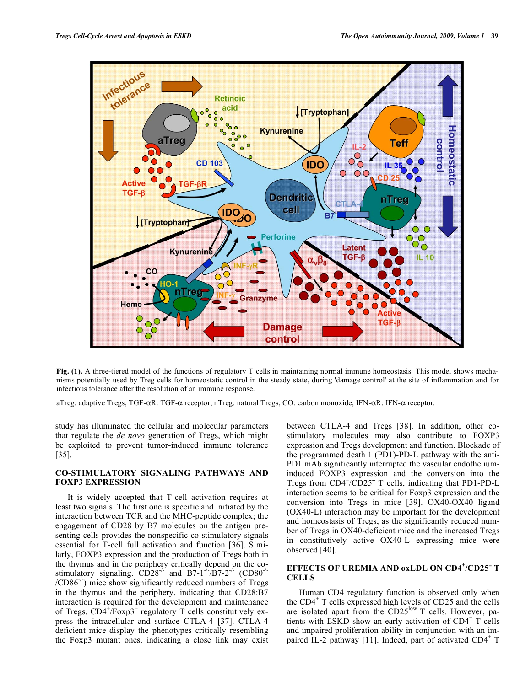

Fig. (1). A three-tiered model of the functions of regulatory T cells in maintaining normal immune homeostasis. This model shows mechanisms potentially used by Treg cells for homeostatic control in the steady state, during 'damage control' at the site of inflammation and for infectious tolerance after the resolution of an immune response.

aTreg: adaptive Tregs; TGF- $\alpha$ R: TGF- $\alpha$  receptor; nTreg: natural Tregs; CO: carbon monoxide; IFN- $\alpha$ R: IFN- $\alpha$  receptor.

study has illuminated the cellular and molecular parameters that regulate the *de novo* generation of Tregs, which might be exploited to prevent tumor-induced immune tolerance [35].

### **CO-STIMULATORY SIGNALING PATHWAYS AND FOXP3 EXPRESSION**

 It is widely accepted that T-cell activation requires at least two signals. The first one is specific and initiated by the interaction between TCR and the MHC-peptide complex; the engagement of CD28 by B7 molecules on the antigen presenting cells provides the nonspecific co-stimulatory signals essential for T-cell full activation and function [36]. Similarly, FOXP3 expression and the production of Tregs both in the thymus and in the periphery critically depend on the costimulatory signaling.  $CD28^{-1/2}$  and  $B7-1^{-/2}/B7-2^{-/2}$  (CD80<sup>-/-</sup>  $/CD86^{-1}$  mice show significantly reduced numbers of Tregs in the thymus and the periphery, indicating that CD28:B7 interaction is required for the development and maintenance of Tregs.  $CD4^+$ /Foxp3<sup>+</sup> regulatory T cells constitutively express the intracellular and surface CTLA-4 [37]. CTLA-4 deficient mice display the phenotypes critically resembling the Foxp3 mutant ones, indicating a close link may exist

between CTLA-4 and Tregs [38]. In addition, other costimulatory molecules may also contribute to FOXP3 expression and Tregs development and function. Blockade of the programmed death 1 (PD1)-PD-L pathway with the anti-PD1 mAb significantly interrupted the vascular endotheliuminduced FOXP3 expression and the conversion into the Tregs from CD4<sup>+</sup>/CD25<sup>-</sup> T cells, indicating that PD1-PD-L interaction seems to be critical for Foxp3 expression and the conversion into Tregs in mice [39]. OX40-OX40 ligand (OX40-L) interaction may be important for the development and homeostasis of Tregs, as the significantly reduced number of Tregs in OX40-deficient mice and the increased Tregs in constitutively active OX40-L expressing mice were observed [40].

## **EFFECTS OF UREMIA AND oxLDL ON CD4<sup>+</sup> /CD25¯ T CELLS**

 Human CD4 regulatory function is observed only when the CD4<sup>+</sup> T cells expressed high levels of CD25 and the cells are isolated apart from the  $CD25<sup>low</sup> T$  cells. However, patients with ESKD show an early activation of CD4<sup>+</sup> T cells and impaired proliferation ability in conjunction with an impaired IL-2 pathway [11]. Indeed, part of activated CD4<sup>+</sup> T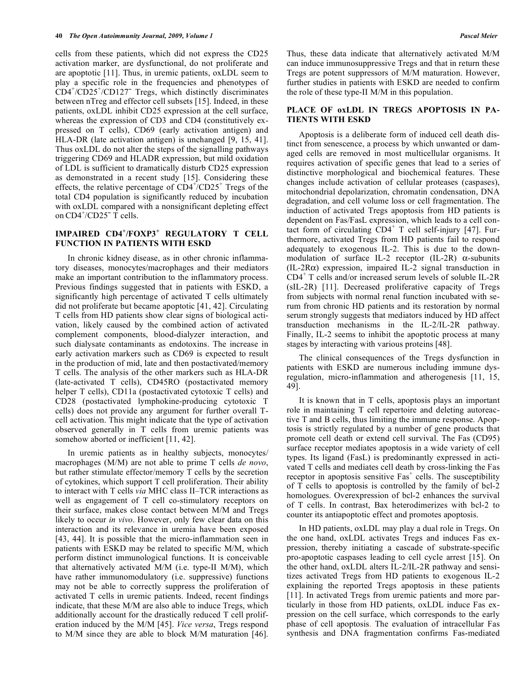cells from these patients, which did not express the CD25 activation marker, are dysfunctional, do not proliferate and are apoptotic [11]. Thus, in uremic patients, oxLDL seem to play a specific role in the frequencies and phenotypes of CD4<sup>+</sup> /CD25<sup>+</sup> /CD127¯ Tregs, which distinctly discriminates between nTreg and effector cell subsets [15]. Indeed, in these patients, oxLDL inhibit CD25 expression at the cell surface, whereas the expression of CD3 and CD4 (constitutively expressed on T cells), CD69 (early activation antigen) and HLA-DR (late activation antigen) is unchanged [9, 15, 41]. Thus oxLDL do not alter the steps of the signalling pathways triggering CD69 and HLADR expression, but mild oxidation of LDL is sufficient to dramatically disturb CD25 expression as demonstrated in a recent study [15]. Considering these effects, the relative percentage of  $CD4^+/CD25^+$  Tregs of the total CD4 population is significantly reduced by incubation with oxLDL compared with a nonsignificant depleting effect on  $CD4^+/CD25^-$  T cells.

## **IMPAIRED CD4<sup>+</sup> /FOXP3<sup>+</sup> REGULATORY T CELL FUNCTION IN PATIENTS WITH ESKD**

 In chronic kidney disease, as in other chronic inflammatory diseases, monocytes/macrophages and their mediators make an important contribution to the inflammatory process. Previous findings suggested that in patients with ESKD, a significantly high percentage of activated T cells ultimately did not proliferate but became apoptotic [41, 42]. Circulating T cells from HD patients show clear signs of biological activation, likely caused by the combined action of activated complement components, blood-dialyzer interaction, and such dialysate contaminants as endotoxins. The increase in early activation markers such as CD69 is expected to result in the production of mid, late and then postactivated/memory T cells. The analysis of the other markers such as HLA-DR (late-activated T cells), CD45RO (postactivated memory helper T cells), CD11a (postactivated cytotoxic T cells) and CD28 (postactivated lymphokine-producing cytotoxic T cells) does not provide any argument for further overall Tcell activation. This might indicate that the type of activation observed generally in T cells from uremic patients was somehow aborted or inefficient [11, 42].

 In uremic patients as in healthy subjects, monocytes/ macrophages (M/M) are not able to prime T cells *de novo*, but rather stimulate effector/memory T cells by the secretion of cytokines, which support T cell proliferation. Their ability to interact with T cells *via* MHC class II–TCR interactions as well as engagement of T cell co-stimulatory receptors on their surface, makes close contact between M/M and Tregs likely to occur *in vivo*. However, only few clear data on this interaction and its relevance in uremia have been exposed [43, 44]. It is possible that the micro-inflammation seen in patients with ESKD may be related to specific M/M, which perform distinct immunological functions. It is conceivable that alternatively activated M/M (i.e. type-II M/M), which have rather immunomodulatory (i.e. suppressive) functions may not be able to correctly suppress the proliferation of activated T cells in uremic patients. Indeed, recent findings indicate, that these M/M are also able to induce Tregs, which additionally account for the drastically reduced T cell proliferation induced by the M/M [45]. *Vice versa*, Tregs respond to M/M since they are able to block M/M maturation [46].

Thus, these data indicate that alternatively activated M/M can induce immunosuppressive Tregs and that in return these Tregs are potent suppressors of M/M maturation. However, further studies in patients with ESKD are needed to confirm the role of these type-II M/M in this population.

#### **PLACE OF oxLDL IN TREGS APOPTOSIS IN PA-TIENTS WITH ESKD**

 Apoptosis is a deliberate form of induced cell death distinct from senescence, a process by which unwanted or damaged cells are removed in most multicellular organisms. It requires activation of specific genes that lead to a series of distinctive morphological and biochemical features. These changes include activation of cellular proteases (caspases), mitochondrial depolarization, chromatin condensation, DNA degradation, and cell volume loss or cell fragmentation. The induction of activated Tregs apoptosis from HD patients is dependent on Fas/FasL expression, which leads to a cell contact form of circulating  $CD4^+$  T cell self-injury [47]. Furthermore, activated Tregs from HD patients fail to respond adequately to exogenous IL-2. This is due to the downmodulation of surface IL-2 receptor (IL-2R)  $\alpha$ -subunits  $(IL-2R\alpha)$  expression, impaired IL-2 signal transduction in CD4<sup>+</sup> T cells and/or increased serum levels of soluble IL-2R (sIL-2R) [11]. Decreased proliferative capacity of Tregs from subjects with normal renal function incubated with serum from chronic HD patients and its restoration by normal serum strongly suggests that mediators induced by HD affect transduction mechanisms in the IL-2/IL-2R pathway. Finally, IL-2 seems to inhibit the apoptotic process at many stages by interacting with various proteins [48].

 The clinical consequences of the Tregs dysfunction in patients with ESKD are numerous including immune dysregulation, micro-inflammation and atherogenesis [11, 15, 49].

 It is known that in T cells, apoptosis plays an important role in maintaining T cell repertoire and deleting autoreactive T and B cells, thus limiting the immune response. Apoptosis is strictly regulated by a number of gene products that promote cell death or extend cell survival. The Fas (CD95) surface receptor mediates apoptosis in a wide variety of cell types. Its ligand (FasL) is predominantly expressed in activated T cells and mediates cell death by cross-linking the Fas receptor in apoptosis sensitive Fas<sup>+</sup> cells. The susceptibility of T cells to apoptosis is controlled by the family of bcl-2 homologues. Overexpression of bcl-2 enhances the survival of T cells. In contrast, Bax heterodimerizes with bcl-2 to counter its antiapoptotic effect and promotes apoptosis.

 In HD patients, oxLDL may play a dual role in Tregs. On the one hand, oxLDL activates Tregs and induces Fas expression, thereby initiating a cascade of substrate-specific pro-apoptotic caspases leading to cell cycle arrest [15]. On the other hand, oxLDL alters IL-2/IL-2R pathway and sensitizes activated Tregs from HD patients to exogenous IL-2 explaining the reported Tregs apoptosis in these patients [11]. In activated Tregs from uremic patients and more particularly in those from HD patients, oxLDL induce Fas expression on the cell surface, which corresponds to the early phase of cell apoptosis. The evaluation of intracellular Fas synthesis and DNA fragmentation confirms Fas-mediated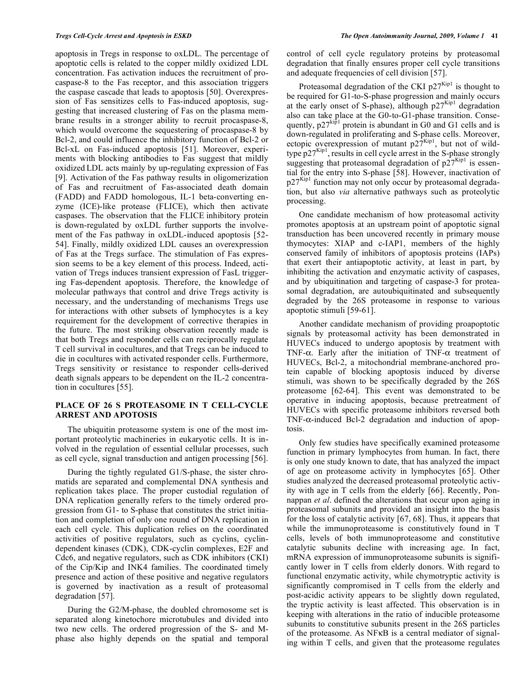apoptosis in Tregs in response to oxLDL. The percentage of apoptotic cells is related to the copper mildly oxidized LDL concentration. Fas activation induces the recruitment of procaspase-8 to the Fas receptor, and this association triggers the caspase cascade that leads to apoptosis [50]. Overexpression of Fas sensitizes cells to Fas-induced apoptosis, suggesting that increased clustering of Fas on the plasma membrane results in a stronger ability to recruit procaspase-8, which would overcome the sequestering of procaspase-8 by Bcl-2, and could influence the inhibitory function of Bcl-2 or Bcl-xL on Fas-induced apoptosis [51]. Moreover, experiments with blocking antibodies to Fas suggest that mildly oxidized LDL acts mainly by up-regulating expression of Fas [9]. Activation of the Fas pathway results in oligomerization of Fas and recruitment of Fas-associated death domain (FADD) and FADD homologous, IL-1 beta-converting enzyme (ICE)-like protease (FLICE), which then activate caspases. The observation that the FLICE inhibitory protein is down-regulated by oxLDL further supports the involvement of the Fas pathway in oxLDL-induced apoptosis [52- 54]. Finally, mildly oxidized LDL causes an overexpression of Fas at the Tregs surface. The stimulation of Fas expression seems to be a key element of this process. Indeed, activation of Tregs induces transient expression of FasL triggering Fas-dependent apoptosis. Therefore, the knowledge of molecular pathways that control and drive Tregs activity is necessary, and the understanding of mechanisms Tregs use for interactions with other subsets of lymphocytes is a key requirement for the development of corrective therapies in the future. The most striking observation recently made is that both Tregs and responder cells can reciprocally regulate T cell survival in cocultures, and that Tregs can be induced to die in cocultures with activated responder cells. Furthermore, Tregs sensitivity or resistance to responder cells-derived death signals appears to be dependent on the IL-2 concentration in cocultures [55].

## **PLACE OF 26 S PROTEASOME IN T CELL-CYCLE ARREST AND APOTOSIS**

 The ubiquitin proteasome system is one of the most important proteolytic machineries in eukaryotic cells. It is involved in the regulation of essential cellular processes, such as cell cycle, signal transduction and antigen processing [56].

 During the tightly regulated G1/S-phase, the sister chromatids are separated and complemental DNA synthesis and replication takes place. The proper custodial regulation of DNA replication generally refers to the timely ordered progression from G1- to S-phase that constitutes the strict initiation and completion of only one round of DNA replication in each cell cycle. This duplication relies on the coordinated activities of positive regulators, such as cyclins, cyclindependent kinases (CDK), CDK-cyclin complexes, E2F and Cdc6, and negative regulators, such as CDK inhibitors (CKI) of the Cip/Kip and INK4 families. The coordinated timely presence and action of these positive and negative regulators is governed by inactivation as a result of proteasomal degradation [57].

 During the G2/M-phase, the doubled chromosome set is separated along kinetochore microtubules and divided into two new cells. The ordered progression of the S- and Mphase also highly depends on the spatial and temporal

control of cell cycle regulatory proteins by proteasomal degradation that finally ensures proper cell cycle transitions and adequate frequencies of cell division [57].

Proteasomal degradation of the CKI  $p27^{Kip1}$  is thought to be required for G1-to-S-phase progression and mainly occurs at the early onset of S-phase), although  $p27<sup>Kip1</sup>$  degradation also can take place at the G0-to-G1-phase transition. Consequently,  $p27^{kip1}$  protein is abundant in G0 and G1 cells and is down-regulated in proliferating and S-phase cells. Moreover, ectopic overexpression of mutant  $p27^{Kip1}$ , but not of wildtype  $p27^{Kip1}$ , results in cell cycle arrest in the S-phase strongly suggesting that proteasomal degradation of  $p27<sup>Kip1</sup>$  is essential for the entry into S-phase [58]. However, inactivation of  $p27<sup>Kip1</sup>$  function may not only occur by proteasomal degradation, but also *via* alternative pathways such as proteolytic processing.

 One candidate mechanism of how proteasomal activity promotes apoptosis at an upstream point of apoptotic signal transduction has been uncovered recently in primary mouse thymocytes: XIAP and c-IAP1, members of the highly conserved family of inhibitors of apoptosis proteins (IAPs) that exert their antiapoptotic activity, at least in part, by inhibiting the activation and enzymatic activity of caspases, and by ubiquitination and targeting of caspase-3 for proteasomal degradation, are autoubiquitinated and subsequently degraded by the 26S proteasome in response to various apoptotic stimuli [59-61].

 Another candidate mechanism of providing proapoptotic signals by proteasomal activity has been demonstrated in HUVECs induced to undergo apoptosis by treatment with TNF- $\alpha$ . Early after the initiation of TNF- $\alpha$  treatment of HUVECs, Bcl-2, a mitochondrial membrane-anchored protein capable of blocking apoptosis induced by diverse stimuli, was shown to be specifically degraded by the 26S proteasome [62-64]. This event was demonstrated to be operative in inducing apoptosis, because pretreatment of HUVECs with specific proteasome inhibitors reversed both TNF- $\alpha$ -induced Bcl-2 degradation and induction of apoptosis.

 Only few studies have specifically examined proteasome function in primary lymphocytes from human. In fact, there is only one study known to date, that has analyzed the impact of age on proteasome activity in lymphocytes [65]. Other studies analyzed the decreased proteasomal proteolytic activity with age in T cells from the elderly [66]. Recently, Ponnappan *et al*. defined the alterations that occur upon aging in proteasomal subunits and provided an insight into the basis for the loss of catalytic activity [67, 68]. Thus, it appears that while the immunoproteasome is constitutively found in T cells, levels of both immunoproteasome and constitutive catalytic subunits decline with increasing age. In fact, mRNA expression of immunoproteasome subunits is significantly lower in T cells from elderly donors. With regard to functional enzymatic activity, while chymotryptic activity is significantly compromised in T cells from the elderly and post-acidic activity appears to be slightly down regulated, the tryptic activity is least affected. This observation is in keeping with alterations in the ratio of inducible proteasome subunits to constitutive subunits present in the 26S particles of the proteasome. As NFKB is a central mediator of signaling within T cells, and given that the proteasome regulates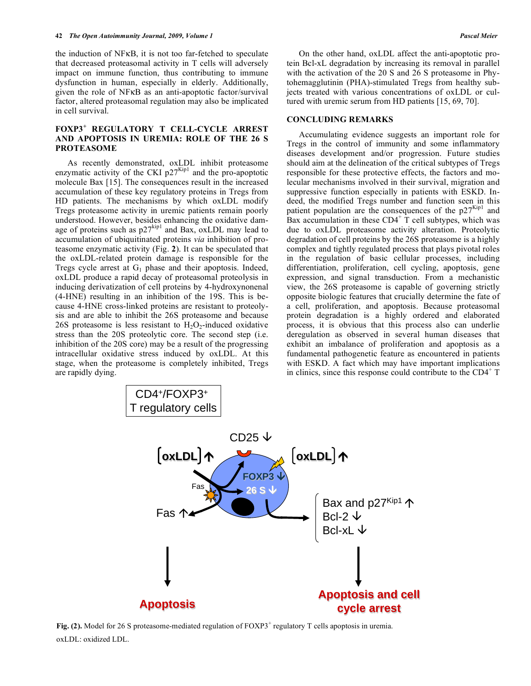the induction of NF<sub>K</sub>B, it is not too far-fetched to speculate that decreased proteasomal activity in T cells will adversely impact on immune function, thus contributing to immune dysfunction in human, especially in elderly. Additionally, given the role of NFKB as an anti-apoptotic factor/survival factor, altered proteasomal regulation may also be implicated in cell survival.

## **FOXP3<sup>+</sup> REGULATORY T CELL-CYCLE ARREST AND APOPTOSIS IN UREMIA: ROLE OF THE 26 S PROTEASOME**

 As recently demonstrated, oxLDL inhibit proteasome enzymatic activity of the CKI  $p27<sup>Kip1</sup>$  and the pro-apoptotic molecule Bax [15]. The consequences result in the increased accumulation of these key regulatory proteins in Tregs from HD patients. The mechanisms by which oxLDL modify Tregs proteasome activity in uremic patients remain poorly understood. However, besides enhancing the oxidative damage of proteins such as  $p27^{kip1}$  and Bax, oxLDL may lead to accumulation of ubiquitinated proteins *via* inhibition of proteasome enzymatic activity (Fig. **2**). It can be speculated that the oxLDL-related protein damage is responsible for the Tregs cycle arrest at  $G_1$  phase and their apoptosis. Indeed, oxLDL produce a rapid decay of proteasomal proteolysis in inducing derivatization of cell proteins by 4-hydroxynonenal (4-HNE) resulting in an inhibition of the 19S. This is because 4-HNE cross-linked proteins are resistant to proteolysis and are able to inhibit the 26S proteasome and because 26S proteasome is less resistant to  $H_2O_2$ -induced oxidative stress than the 20S proteolytic core. The second step (i.e. inhibition of the 20S core) may be a result of the progressing intracellular oxidative stress induced by oxLDL. At this stage, when the proteasome is completely inhibited, Tregs are rapidly dying.

 On the other hand, oxLDL affect the anti-apoptotic protein Bcl-xL degradation by increasing its removal in parallel with the activation of the 20 S and 26 S proteasome in Phytohemagglutinin (PHA)-stimulated Tregs from healthy subjects treated with various concentrations of oxLDL or cultured with uremic serum from HD patients [15, 69, 70].

#### **CONCLUDING REMARKS**

 Accumulating evidence suggests an important role for Tregs in the control of immunity and some inflammatory diseases development and/or progression. Future studies should aim at the delineation of the critical subtypes of Tregs responsible for these protective effects, the factors and molecular mechanisms involved in their survival, migration and suppressive function especially in patients with ESKD. Indeed, the modified Tregs number and function seen in this patient population are the consequences of the  $p27<sup>Kip1</sup>$  and Bax accumulation in these  $CD4^+$  T cell subtypes, which was due to oxLDL proteasome activity alteration. Proteolytic degradation of cell proteins by the 26S proteasome is a highly complex and tightly regulated process that plays pivotal roles in the regulation of basic cellular processes, including differentiation, proliferation, cell cycling, apoptosis, gene expression, and signal transduction. From a mechanistic view, the 26S proteasome is capable of governing strictly opposite biologic features that crucially determine the fate of a cell, proliferation, and apoptosis. Because proteasomal protein degradation is a highly ordered and elaborated process, it is obvious that this process also can underlie deregulation as observed in several human diseases that exhibit an imbalance of proliferation and apoptosis as a fundamental pathogenetic feature as encountered in patients with ESKD. A fact which may have important implications in clinics, since this response could contribute to the  $CD4^+$  T



Fig. (2). Model for 26 S proteasome-mediated regulation of FOXP3<sup>+</sup> regulatory T cells apoptosis in uremia. oxLDL: oxidized LDL.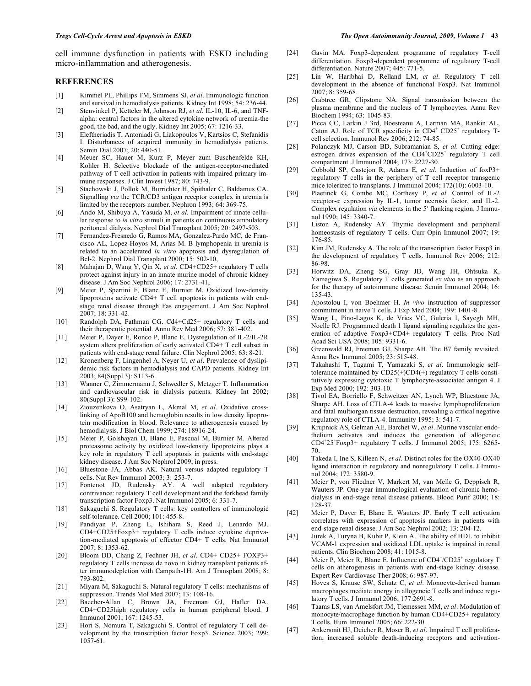cell immune dysfunction in patients with ESKD including micro-inflammation and atherogenesis.

#### **REFERENCES**

- [1] Kimmel PL, Phillips TM, Simmens SJ, *et al*. Immunologic function and survival in hemodialysis patients. Kidney Int 1998; 54: 236-44.
- [2] Stenvinkel P, Ketteler M, Johnson RJ, *et al*. IL-10, IL-6, and TNFalpha: central factors in the altered cytokine network of uremia-the good, the bad, and the ugly. Kidney Int 2005; 67: 1216-33.
- [3] Eleftheriadis T, Antoniadi G, Liakopoulos V, Kartsios C, Stefanidis I. Disturbances of acquired immunity in hemodialysis patients. Semin Dial 2007; 20: 440-51.
- [4] Meuer SC, Hauer M, Kurz P, Meyer zum Buschenfelde KH, Kohler H. Selective blockade of the antigen-receptor-mediated pathway of T cell activation in patients with impaired primary immune responses. J Clin Invest 1987; 80: 743-9.
- [5] Stachowski J, Pollok M, Burrichter H, Spithaler C, Baldamus CA. Signalling *via* the TCR/CD3 antigen receptor complex in uremia is limited by the receptors number. Nephron 1993; 64: 369-75.
- [6] Ando M, Shibuya A, Yasuda M, *et al*. Impairment of innate cellular response to *in vitro* stimuli in patients on continuous ambulatory peritoneal dialysis. Nephrol Dial Transplant 2005; 20: 2497-503.
- [7] Fernandez-Fresnedo G, Ramos MA, Gonzalez-Pardo MC, de Francisco AL, Lopez-Hoyos M, Arias M. B lymphopenia in uremia is related to an accelerated *in vitro* apoptosis and dysregulation of Bcl-2. Nephrol Dial Transplant 2000; 15: 502-10,
- [8] Mahajan D, Wang Y, Qin X, *et al*. CD4+CD25+ regulatory T cells protect against injury in an innate murine model of chronic kidney disease. J Am Soc Nephrol 2006; 17: 2731-41,
- [9] Meier P, Spertini F, Blanc E, Burnier M. Oxidized low-density lipoproteins activate CD4+ T cell apoptosis in patients with endstage renal disease through Fas engagement. J Am Soc Nephrol 2007; 18: 331-42.
- [10] Randolph DA, Fathman CG. Cd4+Cd25+ regulatory T cells and their therapeutic potential. Annu Rev Med 2006; 57: 381-402.
- [11] Meier P, Dayer E, Ronco P, Blanc E. Dysregulation of IL-2/IL-2R system alters proliferation of early activated CD4+ T cell subset in patients with end-stage renal failure. Clin Nephrol 2005; 63: 8-21.
- [12] Kronenberg F, Lingenhel A, Neyer U, *et al*. Prevalence of dyslipidemic risk factors in hemodialysis and CAPD patients. Kidney Int 2003; 84(Suppl 3): S113-6.
- [13] Wanner C, Zimmermann J, Schwedler S, Metzger T. Inflammation and cardiovascular risk in dialysis patients. Kidney Int 2002; 80(Suppl 3): S99-102.
- [14] Ziouzenkova O, Asatryan L, Akmal M, *et al*. Oxidative crosslinking of ApoB100 and hemoglobin results in low density lipoprotein modification in blood. Relevance to atherogenesis caused by hemodialysis. J Biol Chem 1999; 274: 18916-24.
- [15] Meier P, Golshayan D, Blanc E, Pascual M, Burnier M. Altered proteasome activity by oxidized low-density lipoproteins plays a key role in regulatory T cell apoptosis in patients with end-stage kidney disease. J Am Soc Nephrol 2009; in press.
- [16] Bluestone JA, Abbas AK. Natural versus adapted regulatory T cells. Nat Rev Immunol 2003; 3: 253-7.
- [17] Fontenot JD, Rudensky AY. A well adapted regulatory contrivance: regulatory T cell development and the forkhead family transcription factor Foxp3. Nat Immunol 2005; 6: 331-7.
- [18] Sakaguchi S. Regulatory T cells: key controllers of immunologic self-tolerance. Cell 2000; 101: 455-8.
- [19] Pandiyan P, Zheng L, Ishihara S, Reed J, Lenardo MJ. CD4+CD25+Foxp3+ regulatory T cells induce cytokine deprivation-mediated apoptosis of effector CD4+ T cells. Nat Immunol 2007; 8: 1353-62.
- [20] Bloom DD, Chang Z, Fechner JH, *et al*. CD4+ CD25+ FOXP3+ regulatory T cells increase de novo in kidney transplant patients after immunodepletion with Campath-1H. Am J Transplant 2008; 8: 793-802.
- [21] Miyara M, Sakaguchi S. Natural regulatory T cells: mechanisms of suppression. Trends Mol Med 2007; 13: 108-16.
- [22] Baecher-Allan C, Brown JA, Freeman GJ, Hafler DA. CD4+CD25high regulatory cells in human peripheral blood. J Immunol 2001; 167: 1245-53.
- [23] Hori S, Nomura T, Sakaguchi S. Control of regulatory T cell development by the transcription factor Foxp3. Science 2003; 299: 1057-61.
- [24] Gavin MA. Foxp3-dependent programme of regulatory T-cell differentiation. Foxp3-dependent programme of regulatory T-cell differentiation. Nature 2007; 445: 771-5.
- [25] Lin W, Haribhai D, Relland LM, *et al*. Regulatory T cell development in the absence of functional Foxp3. Nat Immunol 2007; 8: 359-68.
- [26] Crabtree GR, Clipstone NA. Signal transmission between the plasma membrane and the nucleus of T lymphocytes. Annu Rev Biochem 1994; 63: 1045-83.
- [27] Picca CC, Larkin J 3rd, Boesteanu A, Lerman MA, Rankin AL, Caton AJ. Role of TCR specificity in CD4<sup>+</sup> CD25<sup>+</sup> regulatory Tcell selection. Immunol Rev 2006; 212: 74-85.
- [28] Polanczyk MJ, Carson BD, Subramanian S, *et al*. Cutting edge: estrogen drives expansion of the  $CD4+CD25$ <sup>+</sup> regulatory T cell compartment. J Immunol 2004; 173: 2227-30.
- [29] Cobbold SP, Castejon R, Adams E, *et al*. Induction of foxP3+ regulatory T cells in the periphery of T cell receptor transgenic mice tolerized to transplants. J Immunol 2004; 172(10): 6003-10.
- [30] Plaetinck G, Combe MC, Corthesy P, *et al*. Control of IL-2 receptor- $\alpha$  expression by IL-1, tumor necrosis factor, and IL-2. Complex regulation *via* elements in the 5' flanking region. J Immunol 1990; 145: 3340-7.
- [31] Liston A, Rudensky AY. Thymic development and peripheral homeostasis of regulatory T cells. Curr Opin Immunol 2007; 19: 176-85.
- [32] Kim JM, Rudensky A. The role of the transcription factor Foxp3 in the development of regulatory T cells. Immunol Rev 2006; 212: 86-98.
- [33] Horwitz DA, Zheng SG, Gray JD, Wang JH, Ohtsuka K, Yamagiwa S. Regulatory T cells generated *ex vivo* as an approach for the therapy of autoimmune disease. Semin Immunol 2004; 16: 135-43.
- [34] Apostolou I, von Boehmer H. *In vivo* instruction of suppressor commitment in naive T cells. J Exp Med 2004; 199: 1401-8.
- [35] Wang L, Pino-Lagos K, de Vries VC, Guleria I, Sayegh MH, Noelle RJ. Programmed death 1 ligand signaling regulates the generation of adaptive Foxp3+CD4+ regulatory T cells. Proc Natl Acad Sci USA 2008; 105: 9331-6.
- [36] Greenwald RJ, Freeman GJ, Sharpe AH. The B7 family revisited. Annu Rev Immunol 2005; 23: 515-48.
- [37] Takahashi T, Tagami T, Yamazaki S, *et al*. Immunologic selftolerance maintained by CD25(+)CD4(+) regulatory T cells constitutively expressing cytotoxic T lymphocyte-associated antigen 4. J Exp Med 2000; 192: 303-10.
- [38] Tivol EA, Borriello F, Schweitzer AN, Lynch WP, Bluestone JA, Sharpe AH. Loss of CTLA-4 leads to massive lymphoproliferation and fatal multiorgan tissue destruction, revealing a critical negative regulatory role of CTLA-4. Immunity 1995; 3: 541-7.
- [39] Krupnick AS, Gelman AE, Barchet W, *et al*. Murine vascular endothelium activates and induces the generation of allogeneic CD4<sup>+</sup> 25<sup>+</sup> Foxp3+ regulatory T cells. J Immunol 2005; 175: 6265- 70.
- [40] Takeda I, Ine S, Killeen N, *et al*. Distinct roles for the OX40-OX40 ligand interaction in regulatory and nonregulatory T cells. J Immunol 2004; 172: 3580-9.
- [41] Meier P, von Fliedner V, Markert M, van Melle G, Deppisch R, Wauters JP. One-year immunological evaluation of chronic hemodialysis in end-stage renal disease patients. Blood Purif 2000; 18: 128-37.
- [42] Meier P, Dayer E, Blanc E, Wauters JP. Early T cell activation correlates with expression of apoptosis markers in patients with end-stage renal disease. J Am Soc Nephrol 2002; 13: 204-12.
- [43] Jurek A, Turyna B, Kubit P, Klein A. The ability of HDL to inhibit VCAM-1 expression and oxidized LDL uptake is impaired in renal patients. Clin Biochem 2008; 41: 1015-8.
- [44] Meier P, Meier R, Blanc E. Influence of CD4<sup>+</sup>/CD25<sup>+</sup> regulatory T cells on atherogenesis in patients with end-stage kidney disease. Expert Rev Cardiovasc Ther 2008; 6: 987-97.
- [45] Hoves S, Krause SW, Schutz C, *et al*. Monocyte-derived human macrophages mediate anergy in allogeneic T cells and induce regulatory T cells. J Immunol 2006; 177:2691-8.
- [46] Taams LS, van Amelsfort JM, Tiemessen MM, *et al*. Modulation of monocyte/macrophage function by human CD4+CD25+ regulatory T cells. Hum Immunol 2005; 66: 222-30.
- [47] Ankersmit HJ, Deicher R, Moser B, *et al*. Impaired T cell proliferation, increased soluble death-inducing receptors and activation-